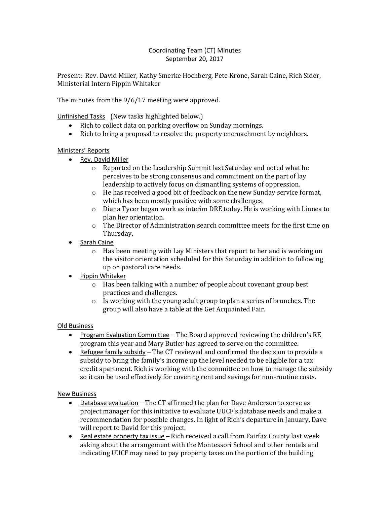## Coordinating Team (CT) Minutes September 20, 2017

Present: Rev. David Miller, Kathy Smerke Hochberg, Pete Krone, Sarah Caine, Rich Sider, Ministerial Intern Pippin Whitaker

The minutes from the 9/6/17 meeting were approved.

Unfinished Tasks (New tasks highlighted below.)

- Rich to collect data on parking overflow on Sunday mornings.
- Rich to bring a proposal to resolve the property encroachment by neighbors.

## Ministers' Reports

- Rev. David Miller
	- o Reported on the Leadership Summit last Saturday and noted what he perceives to be strong consensus and commitment on the part of lay leadership to actively focus on dismantling systems of oppression.
	- o He has received a good bit of feedback on the new Sunday service format, which has been mostly positive with some challenges.
	- $\circ$  Diana Tycer began work as interim DRE today. He is working with Linnea to plan her orientation.
	- $\circ$  The Director of Administration search committee meets for the first time on Thursday.
- Sarah Caine
	- o Has been meeting with Lay Ministers that report to her and is working on the visitor orientation scheduled for this Saturday in addition to following up on pastoral care needs.
- Pippin Whitaker
	- o Has been talking with a number of people about covenant group best practices and challenges.
	- $\circ$  Is working with the young adult group to plan a series of brunches. The group will also have a table at the Get Acquainted Fair.

## Old Business

- Program Evaluation Committee The Board approved reviewing the children's RE program this year and Mary Butler has agreed to serve on the committee.
- Refugee family subsidy  $-$  The CT reviewed and confirmed the decision to provide a subsidy to bring the family's income up the level needed to be eligible for a tax credit apartment. Rich is working with the committee on how to manage the subsidy so it can be used effectively for covering rent and savings for non-routine costs.

## New Business

- Database evaluation The CT affirmed the plan for Dave Anderson to serve as project manager for this initiative to evaluate UUCF's database needs and make a recommendation for possible changes. In light of Rich's departure in January, Dave will report to David for this project.
- Real estate property tax issue Rich received a call from Fairfax County last week asking about the arrangement with the Montessori School and other rentals and indicating UUCF may need to pay property taxes on the portion of the building